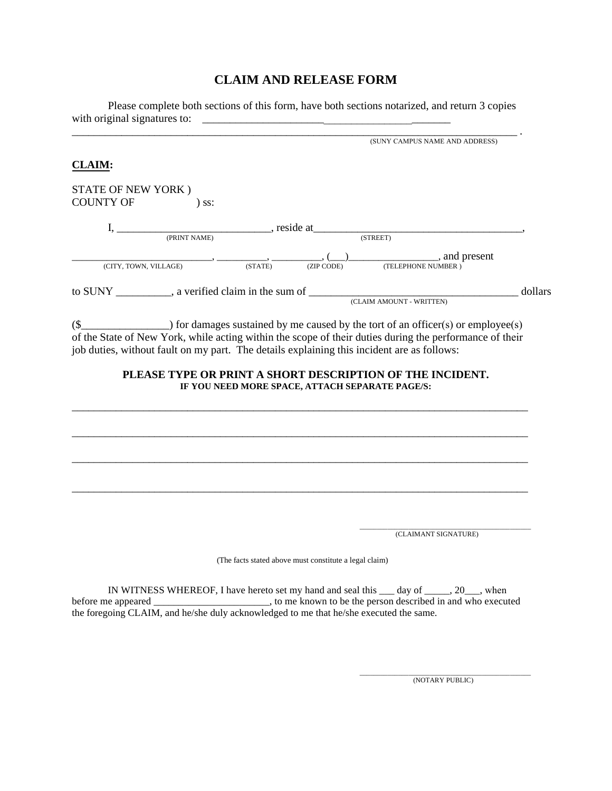# **CLAIM AND RELEASE FORM**

Please complete both sections of this form, have both sections notarized, and return 3 copies with original signatures to: \_\_\_\_\_\_\_\_\_\_\_\_\_\_\_\_\_\_\_\_\_\_\_\_\_\_\_\_\_\_\_\_\_\_\_\_\_\_\_\_\_\_\_\_\_

|                                               | (SUNY CAMPUS NAME AND ADDRESS)                  |
|-----------------------------------------------|-------------------------------------------------|
| <b>CLAIM:</b>                                 |                                                 |
| STATE OF NEW YORK)<br><b>COUNTY OF</b><br>SS: |                                                 |
| , reside at<br>(PRINT NAME)                   | (STREET)                                        |
| (CITY, TOWN, VILLAGE)<br>(STATE)              | and present<br>(ZIP CODE)<br>(TELEPHONE NUMBER) |
| a verified claim in the sum of<br>to SUNY     | dollars<br>(CLAIM AMOUNT - WRITTEN)             |

 $(\S$  ( $\S$ of the State of New York, while acting within the scope of their duties during the performance of their job duties, without fault on my part. The details explaining this incident are as follows:

# **PLEASE TYPE OR PRINT A SHORT DESCRIPTION OF THE INCIDENT.**<br>IF YOU NEED MORE SPACE, ATTACH SEPARATE PAGE/S:

\_\_\_\_\_\_\_\_\_\_\_\_\_\_\_\_\_\_\_\_\_\_\_\_\_\_\_\_\_\_\_\_\_\_\_\_\_\_\_\_\_\_\_\_\_\_\_\_\_\_\_\_\_\_\_\_\_\_\_\_\_\_\_\_\_\_\_\_\_\_\_\_\_\_\_\_\_\_\_\_\_\_\_

\_\_\_\_\_\_\_\_\_\_\_\_\_\_\_\_\_\_\_\_\_\_\_\_\_\_\_\_\_\_\_\_\_\_\_\_\_\_\_\_\_\_\_\_\_\_\_\_\_\_\_\_\_\_\_\_\_\_\_\_\_\_\_\_\_\_\_\_\_\_\_\_\_\_\_\_\_\_\_\_\_\_\_

\_\_\_\_\_\_\_\_\_\_\_\_\_\_\_\_\_\_\_\_\_\_\_\_\_\_\_\_\_\_\_\_\_\_\_\_\_\_\_\_\_\_\_\_\_\_\_\_\_\_\_\_\_\_\_\_\_\_\_\_\_\_\_\_\_\_\_\_\_\_\_\_\_\_\_\_\_\_\_\_\_\_\_

\_\_\_\_\_\_\_\_\_\_\_\_\_\_\_\_\_\_\_\_\_\_\_\_\_\_\_\_\_\_\_\_\_\_\_\_\_\_\_\_\_\_\_\_\_\_\_\_\_\_\_\_\_\_\_\_\_\_\_\_\_\_\_\_\_\_\_\_\_\_\_\_\_\_\_\_\_\_\_\_\_\_\_

\_\_\_\_\_\_\_\_\_\_\_\_\_\_\_\_\_\_\_\_\_\_\_\_\_\_\_\_\_\_\_\_\_\_\_\_\_\_\_\_\_\_\_\_\_\_\_\_\_ (CLAIMANT SIGNATURE)

(The facts stated above must constitute a legal claim)

IN WITNESS WHEREOF, I have hereto set my hand and seal this \_\_\_ day of \_\_\_\_\_, 20\_\_\_, when before me appeared \_\_\_\_\_\_\_\_\_\_\_\_\_\_\_\_\_\_\_\_\_\_\_, to me known to be the person described in and who executed the foregoing CLAIM, and he/she duly acknowledged to me that he/she executed the same.

> \_\_\_\_\_\_\_\_\_\_\_\_\_\_\_\_\_\_\_\_\_\_\_\_\_\_\_\_\_\_\_\_\_\_\_\_\_\_\_\_\_\_\_\_\_\_\_\_\_ (NOTARY PUBLIC)